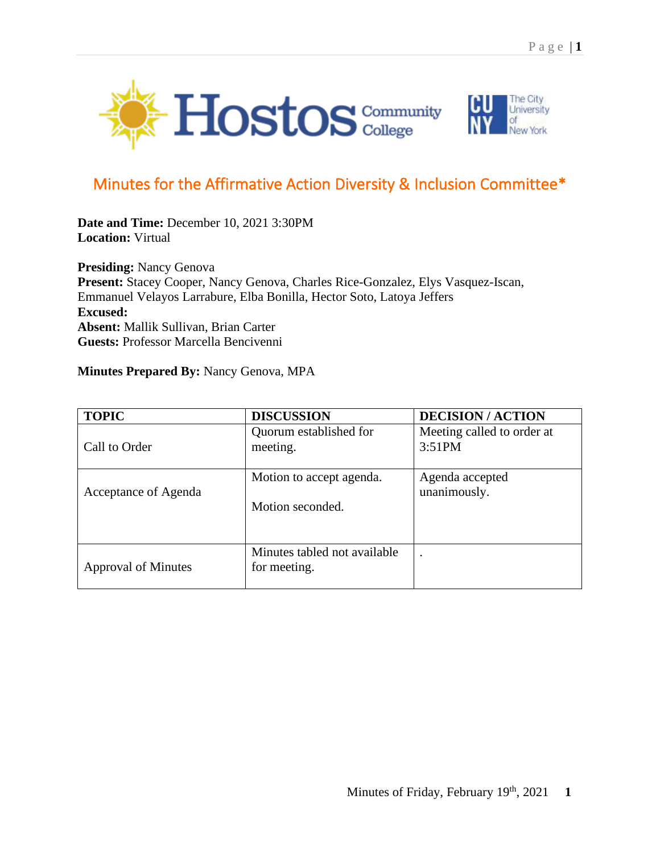



## Minutes for the Affirmative Action Diversity & Inclusion Committee\*

**Date and Time:** December 10, 2021 3:30PM **Location:** Virtual

**Presiding:** Nancy Genova **Present:** Stacey Cooper, Nancy Genova, Charles Rice-Gonzalez, Elys Vasquez-Iscan, Emmanuel Velayos Larrabure, Elba Bonilla, Hector Soto, Latoya Jeffers **Excused: Absent:** Mallik Sullivan, Brian Carter **Guests:** Professor Marcella Bencivenni

## **Minutes Prepared By:** Nancy Genova, MPA

| <b>TOPIC</b>               | <b>DISCUSSION</b>                            | <b>DECISION/ACTION</b>               |
|----------------------------|----------------------------------------------|--------------------------------------|
| Call to Order              | Quorum established for<br>meeting.           | Meeting called to order at<br>3:51PM |
| Acceptance of Agenda       | Motion to accept agenda.<br>Motion seconded. | Agenda accepted<br>unanimously.      |
| <b>Approval of Minutes</b> | Minutes tabled not available<br>for meeting. | $\overline{\phantom{a}}$             |